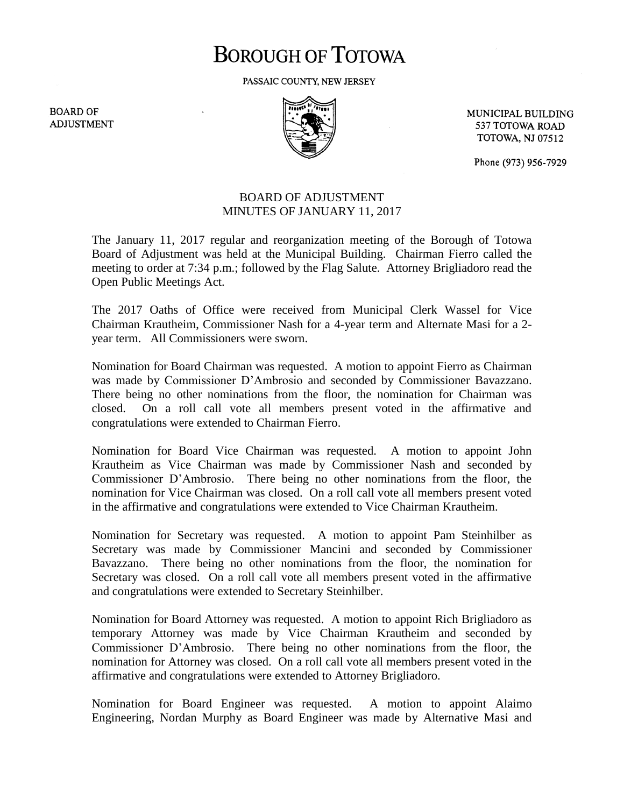# **BOROUGH OF TOTOWA**

PASSAIC COUNTY, NEW JERSEY

**BOARD OF ADJUSTMENT** 



MUNICIPAL BUILDING 537 TOTOWA ROAD **TOTOWA, NJ 07512** 

Phone (973) 956-7929

## BOARD OF ADJUSTMENT MINUTES OF JANUARY 11, 2017

The January 11, 2017 regular and reorganization meeting of the Borough of Totowa Board of Adjustment was held at the Municipal Building. Chairman Fierro called the meeting to order at 7:34 p.m.; followed by the Flag Salute. Attorney Brigliadoro read the Open Public Meetings Act.

The 2017 Oaths of Office were received from Municipal Clerk Wassel for Vice Chairman Krautheim, Commissioner Nash for a 4-year term and Alternate Masi for a 2 year term. All Commissioners were sworn.

Nomination for Board Chairman was requested. A motion to appoint Fierro as Chairman was made by Commissioner D'Ambrosio and seconded by Commissioner Bavazzano. There being no other nominations from the floor, the nomination for Chairman was closed. On a roll call vote all members present voted in the affirmative and congratulations were extended to Chairman Fierro.

Nomination for Board Vice Chairman was requested. A motion to appoint John Krautheim as Vice Chairman was made by Commissioner Nash and seconded by Commissioner D'Ambrosio. There being no other nominations from the floor, the nomination for Vice Chairman was closed. On a roll call vote all members present voted in the affirmative and congratulations were extended to Vice Chairman Krautheim.

Nomination for Secretary was requested. A motion to appoint Pam Steinhilber as Secretary was made by Commissioner Mancini and seconded by Commissioner Bavazzano. There being no other nominations from the floor, the nomination for Secretary was closed. On a roll call vote all members present voted in the affirmative and congratulations were extended to Secretary Steinhilber.

Nomination for Board Attorney was requested. A motion to appoint Rich Brigliadoro as temporary Attorney was made by Vice Chairman Krautheim and seconded by Commissioner D'Ambrosio. There being no other nominations from the floor, the nomination for Attorney was closed. On a roll call vote all members present voted in the affirmative and congratulations were extended to Attorney Brigliadoro.

Nomination for Board Engineer was requested. A motion to appoint Alaimo Engineering, Nordan Murphy as Board Engineer was made by Alternative Masi and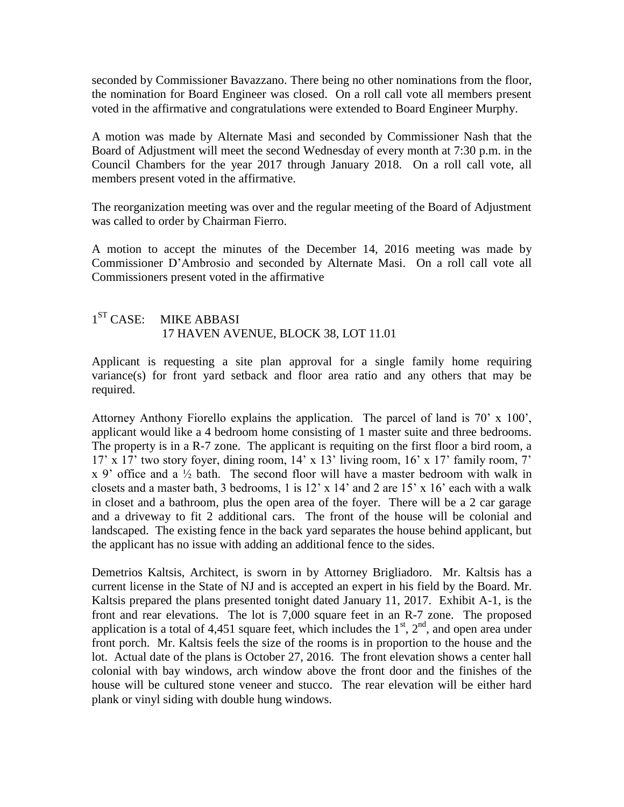seconded by Commissioner Bavazzano. There being no other nominations from the floor, the nomination for Board Engineer was closed. On a roll call vote all members present voted in the affirmative and congratulations were extended to Board Engineer Murphy.

A motion was made by Alternate Masi and seconded by Commissioner Nash that the Board of Adjustment will meet the second Wednesday of every month at 7:30 p.m. in the Council Chambers for the year 2017 through January 2018. On a roll call vote, all members present voted in the affirmative.

The reorganization meeting was over and the regular meeting of the Board of Adjustment was called to order by Chairman Fierro.

A motion to accept the minutes of the December 14, 2016 meeting was made by Commissioner D'Ambrosio and seconded by Alternate Masi. On a roll call vote all Commissioners present voted in the affirmative

#### $1<sup>ST</sup> CASE:$ **MIKE ABBASI** 17 HAVEN AVENUE, BLOCK 38, LOT 11.01

Applicant is requesting a site plan approval for a single family home requiring variance(s) for front yard setback and floor area ratio and any others that may be required.

Attorney Anthony Fiorello explains the application. The parcel of land is 70' x 100', applicant would like a 4 bedroom home consisting of 1 master suite and three bedrooms. The property is in a R-7 zone. The applicant is requiting on the first floor a bird room, a 17' x 17' two story foyer, dining room, 14' x 13' living room, 16' x 17' family room, 7'  $x$  9' office and a  $\frac{1}{2}$  bath. The second floor will have a master bedroom with walk in closets and a master bath, 3 bedrooms, 1 is 12' x 14' and 2 are 15' x 16' each with a walk in closet and a bathroom, plus the open area of the foyer. There will be a 2 car garage and a driveway to fit 2 additional cars. The front of the house will be colonial and landscaped. The existing fence in the back yard separates the house behind applicant, but the applicant has no issue with adding an additional fence to the sides.

Demetrios Kaltsis, Architect, is sworn in by Attorney Brigliadoro. Mr. Kaltsis has a current license in the State of NJ and is accepted an expert in his field by the Board. Mr. Kaltsis prepared the plans presented tonight dated January 11, 2017. Exhibit A-1, is the front and rear elevations. The lot is 7,000 square feet in an R-7 zone. The proposed application is a total of 4,451 square feet, which includes the  $1<sup>st</sup>$ ,  $2<sup>nd</sup>$ , and open area under front porch. Mr. Kaltsis feels the size of the rooms is in proportion to the house and the lot. Actual date of the plans is October 27, 2016. The front elevation shows a center hall colonial with bay windows, arch window above the front door and the finishes of the house will be cultured stone veneer and stucco. The rear elevation will be either hard plank or vinyl siding with double hung windows.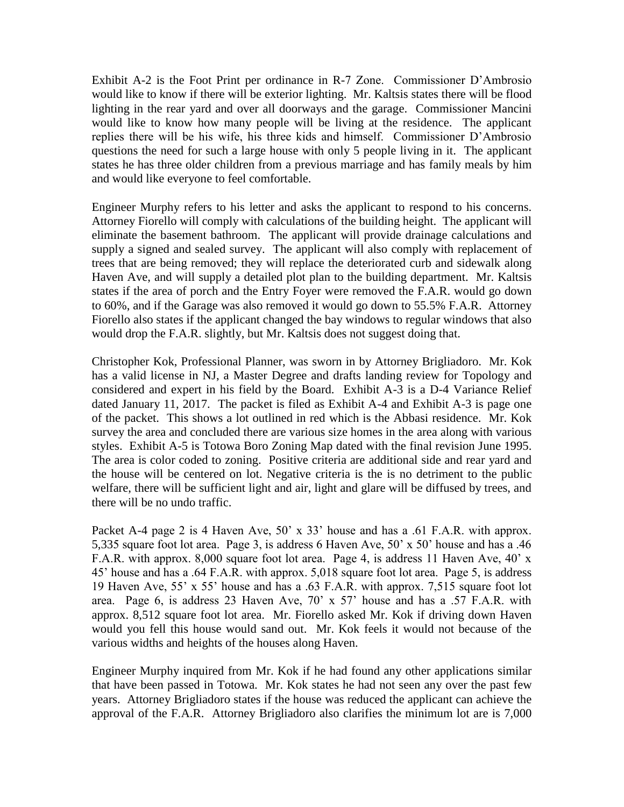Exhibit A-2 is the Foot Print per ordinance in R-7 Zone. Commissioner D'Ambrosio would like to know if there will be exterior lighting. Mr. Kaltsis states there will be flood lighting in the rear yard and over all doorways and the garage. Commissioner Mancini would like to know how many people will be living at the residence. The applicant replies there will be his wife, his three kids and himself. Commissioner D'Ambrosio questions the need for such a large house with only 5 people living in it. The applicant states he has three older children from a previous marriage and has family meals by him and would like everyone to feel comfortable.

Engineer Murphy refers to his letter and asks the applicant to respond to his concerns. Attorney Fiorello will comply with calculations of the building height. The applicant will eliminate the basement bathroom. The applicant will provide drainage calculations and supply a signed and sealed survey. The applicant will also comply with replacement of trees that are being removed; they will replace the deteriorated curb and sidewalk along Haven Ave, and will supply a detailed plot plan to the building department. Mr. Kaltsis states if the area of porch and the Entry Foyer were removed the F.A.R. would go down to 60%, and if the Garage was also removed it would go down to 55.5% F.A.R. Attorney Fiorello also states if the applicant changed the bay windows to regular windows that also would drop the F.A.R. slightly, but Mr. Kaltsis does not suggest doing that.

Christopher Kok, Professional Planner, was sworn in by Attorney Brigliadoro. Mr. Kok has a valid license in NJ, a Master Degree and drafts landing review for Topology and considered and expert in his field by the Board. Exhibit A-3 is a D-4 Variance Relief dated January 11, 2017. The packet is filed as Exhibit A-4 and Exhibit A-3 is page one of the packet. This shows a lot outlined in red which is the Abbasi residence. Mr. Kok survey the area and concluded there are various size homes in the area along with various styles. Exhibit A-5 is Totowa Boro Zoning Map dated with the final revision June 1995. The area is color coded to zoning. Positive criteria are additional side and rear yard and the house will be centered on lot. Negative criteria is the is no detriment to the public welfare, there will be sufficient light and air, light and glare will be diffused by trees, and there will be no undo traffic.

Packet A-4 page 2 is 4 Haven Ave, 50' x 33' house and has a .61 F.A.R. with approx. 5,335 square foot lot area. Page 3, is address 6 Haven Ave, 50' x 50' house and has a .46 F.A.R. with approx. 8,000 square foot lot area. Page 4, is address 11 Haven Ave, 40' x 45' house and has a .64 F.A.R. with approx. 5,018 square foot lot area. Page 5, is address 19 Haven Ave, 55' x 55' house and has a .63 F.A.R. with approx. 7,515 square foot lot area. Page 6, is address 23 Haven Ave, 70' x 57' house and has a .57 F.A.R. with approx. 8,512 square foot lot area. Mr. Fiorello asked Mr. Kok if driving down Haven would you fell this house would sand out. Mr. Kok feels it would not because of the various widths and heights of the houses along Haven.

Engineer Murphy inquired from Mr. Kok if he had found any other applications similar that have been passed in Totowa. Mr. Kok states he had not seen any over the past few years. Attorney Brigliadoro states if the house was reduced the applicant can achieve the approval of the F.A.R. Attorney Brigliadoro also clarifies the minimum lot are is 7,000